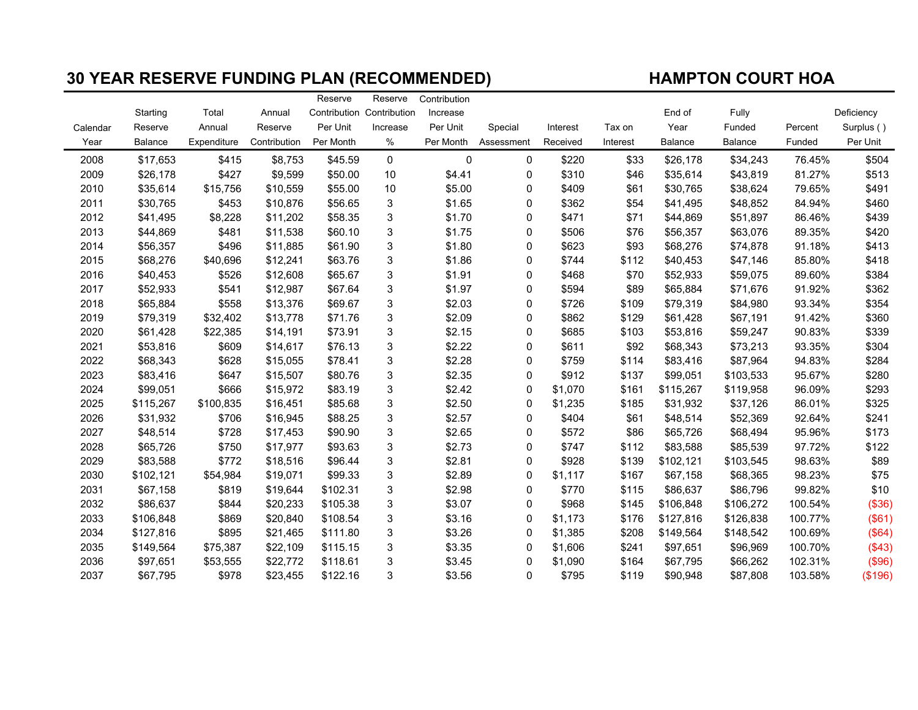## 30 YEAR RESERVE FUNDING PLAN (RECOMMENDED) HAMPTON COURT HOA

|          |                |             |              | Reserve                   | Reserve     | Contribution |             |          |          |                |                |         |            |
|----------|----------------|-------------|--------------|---------------------------|-------------|--------------|-------------|----------|----------|----------------|----------------|---------|------------|
|          | Starting       | Total       | Annual       | Contribution Contribution |             | Increase     |             |          |          | End of         | Fully          |         | Deficiency |
| Calendar | Reserve        | Annual      | Reserve      | Per Unit                  | Increase    | Per Unit     | Special     | Interest | Tax on   | Year           | Funded         | Percent | Surplus () |
| Year     | <b>Balance</b> | Expenditure | Contribution | Per Month                 | %           | Per Month    | Assessment  | Received | Interest | <b>Balance</b> | <b>Balance</b> | Funded  | Per Unit   |
| 2008     | \$17,653       | \$415       | \$8,753      | \$45.59                   | $\mathbf 0$ | 0            | 0           | \$220    | \$33     | \$26,178       | \$34,243       | 76.45%  | \$504      |
| 2009     | \$26,178       | \$427       | \$9,599      | \$50.00                   | 10          | \$4.41       | $\Omega$    | \$310    | \$46     | \$35,614       | \$43,819       | 81.27%  | \$513      |
| 2010     | \$35,614       | \$15,756    | \$10,559     | \$55.00                   | 10          | \$5.00       | 0           | \$409    | \$61     | \$30,765       | \$38,624       | 79.65%  | \$491      |
| 2011     | \$30,765       | \$453       | \$10,876     | \$56.65                   | 3           | \$1.65       | 0           | \$362    | \$54     | \$41,495       | \$48,852       | 84.94%  | \$460      |
| 2012     | \$41,495       | \$8,228     | \$11,202     | \$58.35                   | 3           | \$1.70       | $\mathbf 0$ | \$471    | \$71     | \$44,869       | \$51,897       | 86.46%  | \$439      |
| 2013     | \$44,869       | \$481       | \$11,538     | \$60.10                   | 3           | \$1.75       | 0           | \$506    | \$76     | \$56,357       | \$63,076       | 89.35%  | \$420      |
| 2014     | \$56,357       | \$496       | \$11,885     | \$61.90                   | 3           | \$1.80       | 0           | \$623    | \$93     | \$68,276       | \$74,878       | 91.18%  | \$413      |
| 2015     | \$68,276       | \$40,696    | \$12,241     | \$63.76                   | 3           | \$1.86       | $\Omega$    | \$744    | \$112    | \$40,453       | \$47,146       | 85.80%  | \$418      |
| 2016     | \$40,453       | \$526       | \$12,608     | \$65.67                   | 3           | \$1.91       | 0           | \$468    | \$70     | \$52,933       | \$59,075       | 89.60%  | \$384      |
| 2017     | \$52,933       | \$541       | \$12,987     | \$67.64                   | 3           | \$1.97       | 0           | \$594    | \$89     | \$65,884       | \$71,676       | 91.92%  | \$362      |
| 2018     | \$65,884       | \$558       | \$13,376     | \$69.67                   | 3           | \$2.03       | $\mathbf 0$ | \$726    | \$109    | \$79,319       | \$84,980       | 93.34%  | \$354      |
| 2019     | \$79,319       | \$32,402    | \$13,778     | \$71.76                   | 3           | \$2.09       | $\mathbf 0$ | \$862    | \$129    | \$61,428       | \$67,191       | 91.42%  | \$360      |
| 2020     | \$61,428       | \$22,385    | \$14,191     | \$73.91                   | 3           | \$2.15       | 0           | \$685    | \$103    | \$53,816       | \$59,247       | 90.83%  | \$339      |
| 2021     | \$53,816       | \$609       | \$14,617     | \$76.13                   | 3           | \$2.22       | $\mathbf 0$ | \$611    | \$92     | \$68,343       | \$73,213       | 93.35%  | \$304      |
| 2022     | \$68,343       | \$628       | \$15,055     | \$78.41                   | 3           | \$2.28       | $\mathbf 0$ | \$759    | \$114    | \$83,416       | \$87,964       | 94.83%  | \$284      |
| 2023     | \$83,416       | \$647       | \$15,507     | \$80.76                   | 3           | \$2.35       | 0           | \$912    | \$137    | \$99,051       | \$103,533      | 95.67%  | \$280      |
| 2024     | \$99,051       | \$666       | \$15,972     | \$83.19                   | 3           | \$2.42       | $\mathbf 0$ | \$1,070  | \$161    | \$115,267      | \$119,958      | 96.09%  | \$293      |
| 2025     | \$115,267      | \$100,835   | \$16,451     | \$85.68                   | 3           | \$2.50       | 0           | \$1,235  | \$185    | \$31,932       | \$37,126       | 86.01%  | \$325      |
| 2026     | \$31,932       | \$706       | \$16,945     | \$88.25                   | 3           | \$2.57       | 0           | \$404    | \$61     | \$48,514       | \$52,369       | 92.64%  | \$241      |
| 2027     | \$48,514       | \$728       | \$17,453     | \$90.90                   | 3           | \$2.65       | $\mathbf 0$ | \$572    | \$86     | \$65,726       | \$68,494       | 95.96%  | \$173      |
| 2028     | \$65,726       | \$750       | \$17,977     | \$93.63                   | 3           | \$2.73       | 0           | \$747    | \$112    | \$83,588       | \$85,539       | 97.72%  | \$122      |
| 2029     | \$83,588       | \$772       | \$18,516     | \$96.44                   | 3           | \$2.81       | $\Omega$    | \$928    | \$139    | \$102,121      | \$103,545      | 98.63%  | \$89       |
| 2030     | \$102,121      | \$54,984    | \$19,071     | \$99.33                   | 3           | \$2.89       | $\mathbf 0$ | \$1,117  | \$167    | \$67,158       | \$68,365       | 98.23%  | \$75       |
| 2031     | \$67,158       | \$819       | \$19,644     | \$102.31                  | 3           | \$2.98       | 0           | \$770    | \$115    | \$86,637       | \$86,796       | 99.82%  | \$10       |
| 2032     | \$86,637       | \$844       | \$20,233     | \$105.38                  | 3           | \$3.07       | 0           | \$968    | \$145    | \$106,848      | \$106,272      | 100.54% | (\$36)     |
| 2033     | \$106,848      | \$869       | \$20,840     | \$108.54                  | 3           | \$3.16       | $\Omega$    | \$1,173  | \$176    | \$127,816      | \$126,838      | 100.77% | (\$61)     |
| 2034     | \$127,816      | \$895       | \$21,465     | \$111.80                  | 3           | \$3.26       | 0           | \$1,385  | \$208    | \$149,564      | \$148,542      | 100.69% | (\$64)     |
| 2035     | \$149,564      | \$75,387    | \$22,109     | \$115.15                  | 3           | \$3.35       | $\Omega$    | \$1,606  | \$241    | \$97,651       | \$96,969       | 100.70% | (\$43)     |
| 2036     | \$97,651       | \$53,555    | \$22,772     | \$118.61                  | 3           | \$3.45       | 0           | \$1,090  | \$164    | \$67,795       | \$66,262       | 102.31% | (\$96)     |
| 2037     | \$67,795       | \$978       | \$23,455     | \$122.16                  | 3           | \$3.56       | 0           | \$795    | \$119    | \$90,948       | \$87,808       | 103.58% | (\$196)    |
|          |                |             |              |                           |             |              |             |          |          |                |                |         |            |